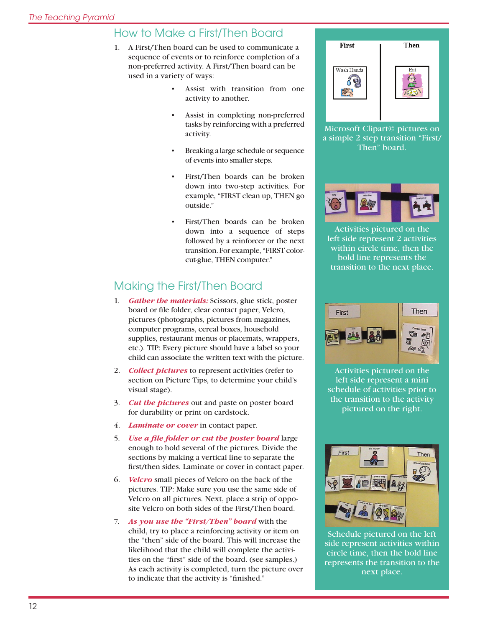## How to Make a First/Then Board

- 1. A First/Then board can be used to communicate a sequence of events or to reinforce completion of a non-preferred activity. A First/Then board can be used in a variety of ways:
	- • Assist with transition from one activity to another.
	- Assist in completing non-preferred tasks by reinforcing with a preferred activity.
	- Breaking a large schedule or sequence of events into smaller steps.
	- First/Then boards can be broken down into two-step activities. For example, "FIRST clean up, THEN go outside."
	- First/Then boards can be broken down into a sequence of steps followed by a reinforcer or the next transition. For example, "FIRST colorcut-glue, THEN computer."

## Making the First/Then Board

- 1. *Gather the materials:* Scissors, glue stick, poster board or file folder, clear contact paper, Velcro, pictures (photographs, pictures from magazines, computer programs, cereal boxes, household supplies, restaurant menus or placemats, wrappers, etc.). TIP: Every picture should have a label so your child can associate the written text with the picture.
- 2. *Collect pictures* to represent activities (refer to section on Picture Tips, to determine your child's visual stage).
- 3. *Cut the pictures* out and paste on poster board for durability or print on cardstock.
- 4. *Laminate or cover* in contact paper.
- 5. *Use a file folder or cut the poster board* large enough to hold several of the pictures. Divide the sections by making a vertical line to separate the first/then sides. Laminate or cover in contact paper.
- 6. *Velcro* small pieces of Velcro on the back of the pictures. TIP: Make sure you use the same side of Velcro on all pictures. Next, place a strip of opposite Velcro on both sides of the First/Then board.
- 7. *As you use the "First/Then" board* with the child, try to place a reinforcing activity or item on the "then" side of the board. This will increase the likelihood that the child will complete the activities on the "first" side of the board. (see samples.) As each activity is completed, turn the picture over to indicate that the activity is "finished."



Microsoft Clipart© pictures on a simple 2 step transition "First/ Then" board.



Activities pictured on the left side represent 2 activities within circle time, then the bold line represents the transition to the next place.



Activities pictured on the left side represent a mini schedule of activities prior to the transition to the activity pictured on the right.



Schedule pictured on the left side represent activities within circle time, then the bold line represents the transition to the next place.